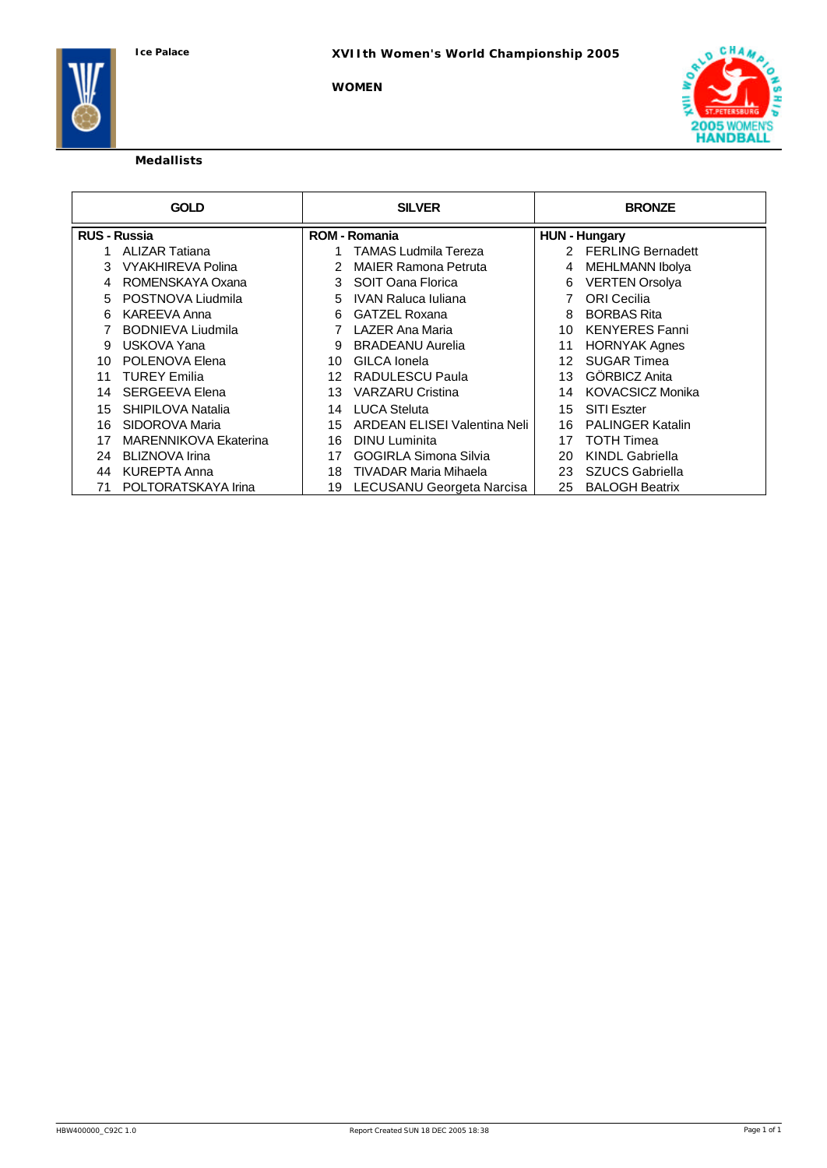**WOMEN**



# **Medallists**

|                     | <b>GOLD</b>              |    | <b>SILVER</b>                |    | <b>BRONZE</b>           |
|---------------------|--------------------------|----|------------------------------|----|-------------------------|
| <b>RUS - Russia</b> |                          |    | <b>ROM - Romania</b>         |    | <b>HUN - Hungary</b>    |
|                     | <b>ALIZAR Tatiana</b>    |    | TAMAS Ludmila Tereza         |    | 2 FERLING Bernadett     |
| 3                   | <b>VYAKHIREVA Polina</b> |    | <b>MAIER Ramona Petruta</b>  | 4  | <b>MEHLMANN Ibolya</b>  |
| 4                   | ROMENSKAYA Oxana         | 3  | SOIT Oana Florica            | 6  | <b>VERTEN Orsolya</b>   |
| 5                   | POSTNOVA Liudmila        | 5. | <b>IVAN Raluca Iuliana</b>   |    | <b>ORI</b> Cecilia      |
| 6                   | <b>KAREEVA Anna</b>      | 6  | <b>GATZEL Roxana</b>         | 8  | <b>BORBAS Rita</b>      |
|                     | <b>BODNIEVA Liudmila</b> |    | LAZER Ana Maria              | 10 | <b>KENYERES Fanni</b>   |
| 9                   | USKOVA Yana              | 9  | <b>BRADEANU Aurelia</b>      | 11 | <b>HORNYAK Agnes</b>    |
| 10                  | POLENOVA Elena           | 10 | GILCA Ionela                 | 12 | <b>SUGAR Timea</b>      |
| 11                  | <b>TUREY Emilia</b>      | 12 | RADULESCU Paula              | 13 | GÖRBICZ Anita           |
| 14                  | <b>SERGEEVA Elena</b>    | 13 | <b>VARZARU Cristina</b>      | 14 | <b>KOVACSICZ Monika</b> |
| 15                  | SHIPILOVA Natalia        | 14 | <b>LUCA Steluta</b>          | 15 | <b>SITI Eszter</b>      |
| 16                  | SIDOROVA Maria           | 15 | ARDEAN ELISEI Valentina Neli | 16 | <b>PALINGER Katalin</b> |
| 17                  | MARENNIKOVA Ekaterina    | 16 | <b>DINU</b> Luminita         | 17 | <b>TOTH Timea</b>       |
| 24                  | BLIZNOVA Irina           | 17 | <b>GOGIRLA Simona Silvia</b> | 20 | <b>KINDL Gabriella</b>  |
| 44                  | KUREPTA Anna             | 18 | <b>TIVADAR Maria Mihaela</b> | 23 | SZUCS Gabriella         |
| 71                  | POLTORATSKAYA Irina      | 19 | LECUSANU Georgeta Narcisa    | 25 | <b>BALOGH Beatrix</b>   |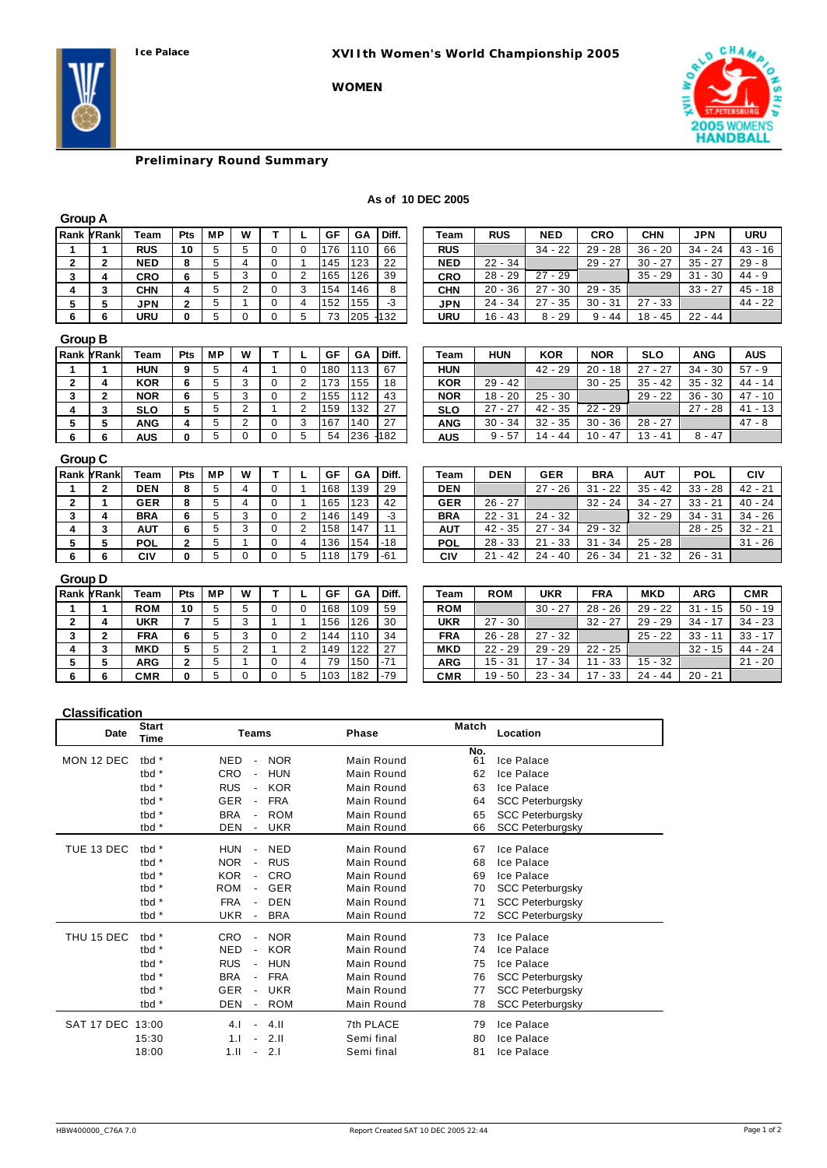**Ice Palace XVIIth Women's World Championship 2005**

**WOMEN**



# **Preliminary Round Summary**

| As of 10 DEC 2005 |  |  |  |
|-------------------|--|--|--|
|-------------------|--|--|--|

|--|--|

| Rank YRank | Team       | <b>Pts</b> | <b>MP</b> | W |   | GF  | GА  | Diff.   | Team       | RUS          | <b>NED</b> | CRO         | <b>CHN</b> | <b>JPN</b>  | URU      |
|------------|------------|------------|-----------|---|---|-----|-----|---------|------------|--------------|------------|-------------|------------|-------------|----------|
|            | <b>RUS</b> | 10         |           |   |   | 76  | 10  | 66      | <b>RUS</b> |              | $34 - 22$  | $-28$<br>29 | $36 - 20$  | $34 - 24$   | $43 - 1$ |
|            | <b>NED</b> |            |           |   |   | 145 | 123 | 22      | <b>NED</b> | $22 - 34$    |            | $29 - 27$   | $30 - 27$  | $35 - 27$   | $29 - 8$ |
|            | <b>CRO</b> |            |           |   |   | 165 | 126 | 39      | <b>CRO</b> | 29<br>$28 -$ | $27 - 29$  |             | 29<br>35   | $-30$<br>31 | 44 - 9   |
|            | CHN        |            |           |   |   | 154 | 146 |         | CHN        | $20 - 36$    | $27 - 30$  | $29 - 35$   |            | $33 - 27$   | $45 - 1$ |
|            | <b>JPN</b> |            |           |   |   | 152 | 155 | -3      | JPN        | $24 - 34$    | $27 - 35$  | $30 - 31$   | $27 - 33$  |             | -44 - 2  |
|            | URU        |            |           |   | 5 | 73  | 205 | $-1132$ | URU        | $16 - 43$    | $8 - 29$   | $9 - 44$    | $18 - 45$  | $22 - 44$   |          |

| ınk YRank | Team       | Pts | <b>MP</b> | W |   | GF  | GА  | Diff. | Team       | <b>RUS</b> | <b>NED</b>  | CRO       | <b>CHN</b>  | <b>JPN</b> | <b>URU</b> |
|-----------|------------|-----|-----------|---|---|-----|-----|-------|------------|------------|-------------|-----------|-------------|------------|------------|
|           | <b>RUS</b> | 10  |           |   |   | 76  | 110 | 66    | <b>RUS</b> |            | $34 - 22$   | $29 - 28$ | 36<br>$-20$ | $34 - 24$  | $43 - 16$  |
|           | <b>NED</b> |     |           |   |   | 145 | 123 | 22    | <b>NED</b> | $22 - 34$  |             | $29 - 27$ | $30 - 27$   | - 27<br>35 | $29 - 8$   |
| 4         | <b>CRO</b> |     |           |   | ۷ | 165 | 126 | 39    | CRO        | $28 - 29$  | 27<br>$-29$ |           | $35 - 29$   | 31<br>- 30 | $44 - 9$   |
|           | <b>CHN</b> |     |           |   |   | 154 | 146 | 8     | <b>CHN</b> | $20 - 36$  | $-30$<br>27 | $29 - 35$ |             | $33 - 27$  | $45 - 18$  |
|           | <b>JPN</b> |     |           |   | 4 | 152 | 155 | -3    | JPN        | $24 - 34$  | $27 - 35$   | $30 - 31$ | $27 - 33$   |            | $44 - 22$  |
|           | URU        |     |           |   |   | 73  | 205 | ł132  | URU        | $16 - 43$  | $8 - 29$    | $9 - 44$  | $18 - 45$   | $22 - 44$  |            |

## **Group B**

| Rank YRank | ⊤eam       | <b>Pts</b> | <b>MP</b> | W |         | GF  | GA  | Diff.   | Team       | HUN       | <b>KOR</b>  | <b>NOR</b> | <b>SLO</b> | ANG        | AUS       |
|------------|------------|------------|-----------|---|---------|-----|-----|---------|------------|-----------|-------------|------------|------------|------------|-----------|
|            | HUN        | 9          |           |   |         | 180 | .13 | 67      | HUN        |           | $-29$<br>42 | 20<br>- 18 | $27 - 27$  | 34<br>- 30 | 57<br>- 9 |
|            | <b>KOR</b> | 6          |           |   |         | 173 | 155 | 18      | <b>KOR</b> | $29 - 42$ |             | $30 - 25$  | $35 - 42$  | $35 - 32$  | $44 - 7$  |
|            | <b>NOR</b> |            |           |   |         | 155 | 12  | 43      | <b>NOR</b> | $18 - 20$ | $25 - 30$   |            | $29 - 22$  | $36 - 30$  | $47 - 1$  |
|            | <b>SLO</b> |            |           |   |         | 159 | 132 | 27      | <b>SLO</b> | $27 - 27$ | $42 - 35$   | $22 - 29$  |            | $27 - 28$  | 41<br>- 1 |
|            | ANG        |            |           |   | $\cdot$ | 167 | 140 | 27      | <b>ANG</b> | $30 - 34$ | $32 - 35$   | $30 - 36$  | $28 - 27$  |            | $47 - 8$  |
|            | AUS        |            |           |   |         | 54  | 236 | $-1182$ | <b>AUS</b> | $9 - 57$  | 14 - 44     | $10 - 47$  | $13 - 41$  | $8 - 47$   |           |

| ınk YRank | Team       | <b>Pts</b> | <b>MP</b> | W |   | GF   | GA   | Diff.   | $T$ eam    | <b>HUN</b> | <b>KOR</b> | <b>NOR</b> | <b>SLO</b> | <b>ANG</b>  | AUS         |
|-----------|------------|------------|-----------|---|---|------|------|---------|------------|------------|------------|------------|------------|-------------|-------------|
|           | <b>HUN</b> | 9          |           |   |   | 1180 | 1113 | 67      | <b>HUN</b> |            | $42 - 29$  | $20 - 18$  | $27 - 27$  | $34 - 30$   | $57 - 9$    |
| 4         | <b>KOR</b> |            |           |   |   | '173 | 155  | 18      | <b>KOR</b> | $29 - 42$  |            | $30 - 25$  | $35 - 42$  | $35 - 32$   | $44 - 14$   |
|           | <b>NOR</b> |            |           |   |   | 155  | 112  | 43      | <b>NOR</b> | $18 - 20$  | $25 - 30$  |            | $29 - 22$  | $36 - 30$   | 47<br>- 10  |
|           | <b>SLO</b> |            |           |   | ∠ | 1159 | 132  | 27      | <b>SLO</b> | $27 - 27$  | $42 - 35$  | $22 - 29$  |            | $-28$<br>27 | $-13$<br>41 |
|           | <b>ANG</b> |            |           |   | 3 | 167  | 140  | 27      | ANG        | $30 - 34$  | $32 - 35$  | $30 - 36$  | $28 - 27$  |             | $47 - 8$    |
|           | AUS        |            |           |   |   | 54   | 236  | $-1182$ | AUS        | $9 - 57$   | $14 - 44$  | $10 - 47$  | $13 - 41$  | $8 - 47$    |             |

## **Group C**

| <b>Rank YRank</b> | Team       | Pts | <b>MP</b> | W |  | GF  | GA   | Diff. | Team       | <b>DEN</b> | <b>GER</b> | BRA        | <b>AUT</b> | <b>POL</b> | CIV      |
|-------------------|------------|-----|-----------|---|--|-----|------|-------|------------|------------|------------|------------|------------|------------|----------|
|                   | <b>DEN</b> | 8   |           |   |  | 168 | 139  | 29    | <b>DEN</b> |            | $27 - 26$  | - 22<br>31 | $35 - 42$  | $33 - 28$  | $42 - 2$ |
|                   | <b>GER</b> | 8   |           |   |  | 165 | 123  | 42    | <b>GER</b> | $26 - 27$  |            | $32 - 24$  | $34 - 27$  | $33 - 21$  | $40 - 2$ |
|                   | <b>BRA</b> |     |           |   |  | 46  | 149  | -3    | <b>BRA</b> | $22 - 31$  | $24 - 32$  |            | $32 - 29$  | $34 - 31$  | $34 - 2$ |
|                   | AUT        |     |           |   |  | 158 | .147 | 11    | <b>AUT</b> | $42 - 35$  | $27 - 34$  | $29 - 32$  |            | $28 - 25$  | $32 - 2$ |
|                   | <b>POL</b> |     |           |   |  | 136 | 154  | $-18$ | <b>POL</b> | $28 - 33$  | $21 - 33$  | - 34<br>31 | $25 - 28$  |            | $31 - 2$ |
|                   | CIV        |     |           |   |  | 18  | 179  | $-61$ | CIV        | $21 - 42$  | $24 - 40$  | $26 - 34$  | $21 - 32$  | $26 - 31$  |          |

| ınk MRankl | Team       | Pts | <b>MP</b> | W |   | GF  | GА  | Diff. | Team       | <b>DEN</b> | <b>GER</b>  | <b>BRA</b> | AUT       | <b>POL</b> | CIV       |
|------------|------------|-----|-----------|---|---|-----|-----|-------|------------|------------|-------------|------------|-----------|------------|-----------|
|            | <b>DEN</b> | 8   |           | 4 |   | 168 | 139 | 29    | <b>DEN</b> |            | $27 - 26$   | $31 - 22$  | $35 - 42$ | $33 - 28$  | $42 - 21$ |
|            | <b>GER</b> | 8   |           |   |   | 165 | 123 | 42    | <b>GER</b> | $26 - 27$  |             | $32 - 24$  | $34 - 27$ | $33 - 21$  | $40 - 24$ |
| 4          | <b>BRA</b> | 6   |           |   | 2 | 146 | 149 | -3    | <b>BRA</b> | $22 - 31$  | $24 - 32$   |            | $32 - 29$ | $34 - 31$  | $34 - 26$ |
|            | <b>AUT</b> |     |           |   | 2 | 158 | 147 | 11    | <b>AUT</b> | $42 - 35$  | $-34$<br>27 | $29 - 32$  |           | $28 - 25$  | $32 - 21$ |
|            | <b>POL</b> | ົ   |           |   | 4 | 136 | 154 | $-18$ | <b>POL</b> | $28 - 33$  | $21 - 33$   | - 34<br>31 | $25 - 28$ |            | $31 - 26$ |
|            | CIV        | n.  |           |   | 5 | 118 | 179 | $-61$ | CIV        | $21 - 42$  | $24 - 40$   | $26 - 34$  | $21 - 32$ | $26 - 31$  |           |

## **Group D**

| <b>Rank YRank</b> | Team       | Pts | <b>MP</b> | W |  | GF  | GA  | Diff. | Team       | <b>ROM</b>  | <b>UKR</b> | <b>FRA</b>  | <b>MKD</b> | <b>ARG</b> | <b>CMR</b> |
|-------------------|------------|-----|-----------|---|--|-----|-----|-------|------------|-------------|------------|-------------|------------|------------|------------|
|                   | <b>ROM</b> | 10  |           |   |  | 168 | 109 | 59    | <b>ROM</b> |             | $30 - 27$  | - 26<br>28  | $29 - 22$  | $31 - 15$  | $50 - 1$   |
|                   | UKR        |     |           |   |  | 156 | 126 | 30    | <b>UKR</b> | 27<br>$-30$ |            | 32<br>$-27$ | $29 - 29$  | $34 - 17$  | $34 - 2$   |
|                   | <b>FRA</b> |     |           |   |  | 144 | 110 | 34    | <b>FRA</b> | $26 - 28$   | $27 - 32$  |             | $25 - 22$  | $33 - 1'$  | $33 - 1$   |
|                   | <b>MKD</b> |     |           |   |  | 149 | 122 | 27    | <b>MKD</b> | $22 - 29$   | $29 - 29$  | $22 - 25$   |            | $32 - 15$  | $44 - 2$   |
|                   | <b>ARG</b> |     | đ         |   |  | 79  | 150 | i-71  | <b>ARG</b> | $15 - 31$   | 17 - 34    | - 33        | $15 - 32$  |            | $21 - 2$   |
|                   | <b>CMR</b> |     |           |   |  | 103 | 182 | $-79$ | <b>CMR</b> | $19 - 50$   | $23 - 34$  | $-33$<br>7  | $24 - 44$  | $20 - 21$  |            |

| ınk YRank | Team       | <b>Pts</b> | МP | W |   | GF   | GΑ   | Diff. | Team       | <b>ROM</b> | <b>UKR</b>  | <b>FRA</b> | <b>MKD</b> | ARG          | <b>CMR</b> |
|-----------|------------|------------|----|---|---|------|------|-------|------------|------------|-------------|------------|------------|--------------|------------|
|           | <b>ROM</b> | 10         |    |   |   | 168  | 109  | 59    | <b>ROM</b> |            | $30 - 27$   | $28 - 26$  | $29 - 22$  | 31<br>15     | $50 - 19$  |
| 4         | UKR        |            |    | ີ |   | 156  | 126  | 30    | UKR        | $27 - 30$  |             | $32 - 27$  | $29 - 29$  | $34 -$       | $34 - 23$  |
|           | <b>FRA</b> |            |    |   | ∠ | '144 | l110 | 34    | <b>FRA</b> | $26 - 28$  | $27 - 32$   |            | $25 - 22$  | $33 - 11$    | $33 - 17$  |
|           | <b>MKD</b> |            |    |   |   | 1149 | 1122 | 27    | <b>MKD</b> | $22 - 29$  | $-29$<br>29 | $22 - 25$  |            | $32 -$<br>15 | $44 - 24$  |
|           | <b>ARG</b> | ົ          |    |   | 4 | 79   | 150  | $-71$ | <b>ARG</b> | $15 - 31$  | 17<br>- 34  | - 33       | $15 - 32$  |              | $21 - 20$  |
|           | <b>CMR</b> |            |    |   | 5 | 103  | 182  | $-79$ | <b>CMR</b> | $19 - 50$  | $23 - 34$   | $-33$      | $24 - 44$  | $20 - 21$    |            |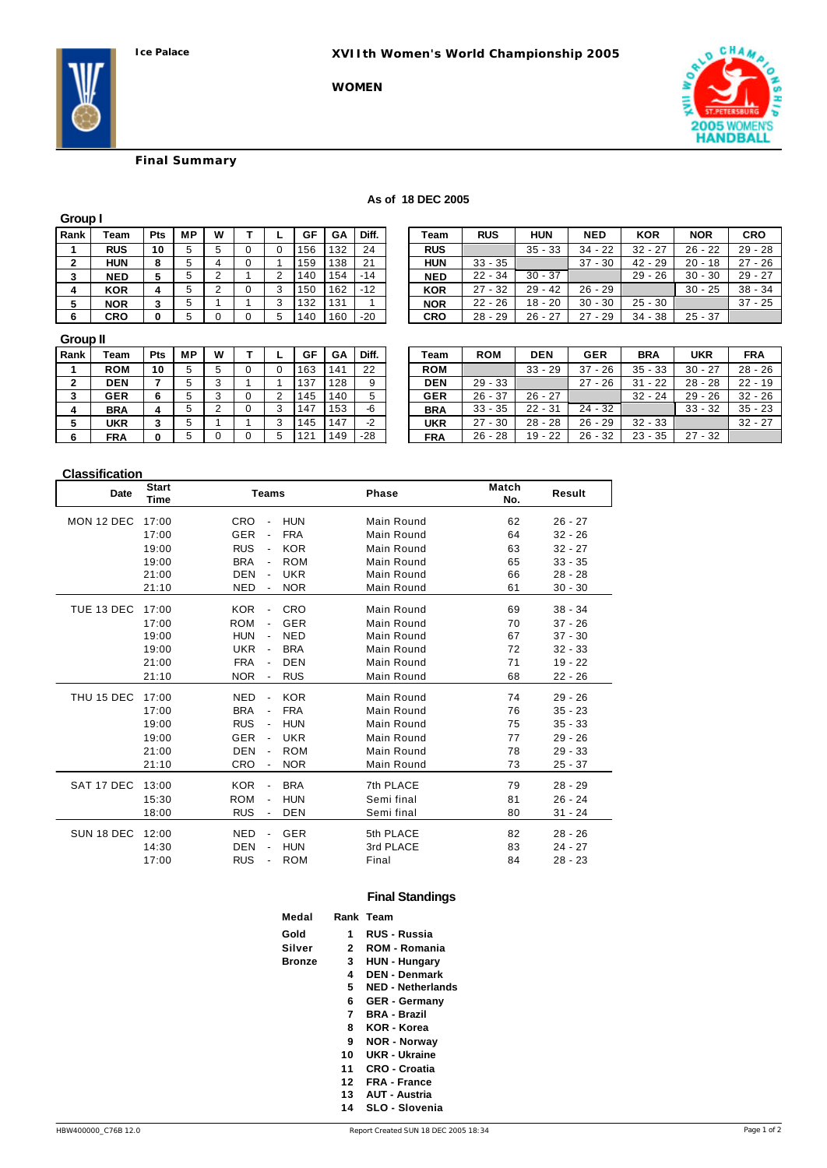**WOMEN**



# **Final Summary**

#### **As of 18 DEC 2005**

| Group I |            |     |    |   |   |   |     |     |       |
|---------|------------|-----|----|---|---|---|-----|-----|-------|
| Rank    | Team       | Pts | МP | W |   |   | GF  | GA  | Diff. |
|         | <b>RUS</b> | 10  | 5  | 5 | 0 | 0 | 156 | 132 | 24    |
| 2       | <b>HUN</b> | 8   | 5  | 4 | 0 |   | 159 | 138 | 21    |
| 3       | <b>NED</b> | 5   | 5  | 2 |   | 2 | 140 | 154 | -14   |
|         | <b>KOR</b> | 4   | 5  | 2 | 0 | 3 | 150 | 162 | $-12$ |
| 5       | <b>NOR</b> | 3   | 5  |   |   | 3 | 132 | 131 |       |
| 6       | <b>CRO</b> | 0   | 5  | 0 | 0 | 5 | 140 | 160 | $-20$ |

| Rank | ™eam       | Pts | <b>MP</b> | W |   | GF  | GA  | Diff. | Team       | <b>RUS</b> | HUN       | <b>NED</b>  | <b>KOR</b>  | <b>NOR</b> | CRO       |
|------|------------|-----|-----------|---|---|-----|-----|-------|------------|------------|-----------|-------------|-------------|------------|-----------|
|      | <b>RUS</b> | 10  |           |   |   | 156 | 132 | 24    | <b>RUS</b> |            | $35 - 33$ | 34<br>- 22  | $32 - 27$   | $26 - 22$  | $29 - 28$ |
|      | HUN        |     |           |   |   | 159 | 138 | 21    | HUN        | $33 - 35$  |           | 37<br>$-30$ | $42 - 29$   | $20 - 18$  | $27 - 26$ |
|      | NED        |     |           |   |   | 140 | 154 | $-14$ | <b>NED</b> | $22 - 34$  | $30 - 37$ |             | $29 - 26$   | $30 - 30$  | $29 - 27$ |
|      | KOR        |     |           |   | 3 | 150 | 162 | $-12$ | <b>KOR</b> | $27 - 32$  | $29 - 42$ | $26 - 29$   |             | $30 - 25$  | $38 - 34$ |
|      | NOR        |     |           |   | ঽ | 132 | 131 |       | <b>NOR</b> | $22 - 26$  | $18 - 20$ | $30 - 30$   | $25 - 30$   |            | $37 - 25$ |
|      | CRO        | n   |           |   | 5 | 140 | 160 | $-20$ | CRO        | $28 - 29$  | $26 - 27$ | 27<br>$-29$ | $-38$<br>34 | $25 - 37$  |           |

#### **Group II**

| -----        |            |     |    |   |   |     |     |       |            |            |            |             |             |            |
|--------------|------------|-----|----|---|---|-----|-----|-------|------------|------------|------------|-------------|-------------|------------|
| Rank         | Team       | Pts | МP | W |   | GF  | GA  | Diff. | Team       | <b>ROM</b> | <b>DEN</b> | <b>GER</b>  | <b>BRA</b>  | <b>UKR</b> |
|              | <b>ROM</b> | 10  |    | 5 |   | 163 | 141 | 22    | <b>ROM</b> |            | $33 - 29$  | 37<br>$-26$ | $35 - 33$   | $30 - 27$  |
| $\mathbf{2}$ | <b>DEN</b> |     |    | 3 |   | 137 | 128 | 9     | <b>DEN</b> | $29 - 33$  |            | 27<br>$-26$ | $-22$<br>31 | $28 - 28$  |
| 3            | <b>GER</b> |     |    | 3 |   | 145 | 140 | 5     | <b>GER</b> | $26 - 37$  | $26 - 27$  |             | $32 - 24$   | $29 - 26$  |
| -4           | <b>BRA</b> | 4   |    |   |   | 147 | 153 | -6    | <b>BRA</b> | $33 - 35$  | $22 - 31$  | $24 - 32$   |             | $33 - 32$  |
| 5            | UKR        |     |    |   |   | 145 | 147 | $-2$  | UKR        | $27 - 30$  | $28 - 28$  | $26 - 29$   | $32 - 33$   |            |
| -6           | <b>FRA</b> |     |    |   | 5 | 121 | 149 | $-28$ | <b>FRA</b> | $26 - 28$  | $19 - 22$  | 26 - 32     | $23 - 35$   | $27 - 32$  |
|              |            |     |    |   |   |     |     |       |            |            |            |             |             |            |

| Rank | Team       | Pts | <b>MP</b> | W       |   | GF  | GA  | Diff. | Team       | <b>ROM</b> | <b>DEN</b> | <b>GER</b>      | <b>BRA</b>  | <b>UKR</b> | <b>FRA</b> |
|------|------------|-----|-----------|---------|---|-----|-----|-------|------------|------------|------------|-----------------|-------------|------------|------------|
|      | <b>ROM</b> | 10  |           | 5       |   | 163 | 141 | 22    | <b>ROM</b> |            | $33 - 29$  | $-26$<br>37     | $35 - 33$   | $30 - 27$  | $28 - 26$  |
|      | DEN        |     |           | ີ<br>×. |   | 137 | 128 | 9     | <b>DEN</b> | $29 - 33$  |            | 27<br>$-26$     | $-22$<br>31 | $28 - 28$  | $22 - 19$  |
|      | <b>GER</b> | 6   |           | ີ       |   | 145 | 140 | 5     | <b>GER</b> | $26 - 37$  | $26 - 27$  |                 | $32 - 24$   | $29 - 26$  | $32 - 26$  |
|      | <b>BRA</b> |     |           | ົ       | 3 | 147 | 153 | -6    | <b>BRA</b> | $33 - 35$  | $22 - 31$  | $24 - 32$       |             | $33 - 32$  | $35 - 23$  |
|      | UKR        |     |           |         | 3 | 145 | 147 | $-2$  | UKR        | $27 - 30$  | $28 - 28$  | $26 -$<br>$-29$ | $32 - 33$   |            | $32 - 27$  |
|      | <b>FRA</b> | 0   |           |         | 5 | 21  | 149 | $-28$ | <b>FRA</b> | $26 - 28$  | $19 - 22$  | $26 - 32$       | $23 - 35$   | $27 - 32$  |            |

## **Classification**

| <b>Date</b> | <b>Start</b><br>Time | <b>Teams</b>                               |            | <b>Phase</b> | Match<br>No. | Result    |
|-------------|----------------------|--------------------------------------------|------------|--------------|--------------|-----------|
| MON 12 DEC  | 17:00                | <b>CRO</b>                                 | <b>HUN</b> | Main Round   | 62           | $26 - 27$ |
|             | 17:00                | <b>GER</b><br>$\overline{\phantom{a}}$     | <b>FRA</b> | Main Round   | 64           | $32 - 26$ |
|             | 19:00                | <b>RUS</b>                                 | <b>KOR</b> | Main Round   | 63           | $32 - 27$ |
|             | 19:00                | <b>BRA</b>                                 | <b>ROM</b> | Main Round   | 65           | $33 - 35$ |
|             | 21:00                | <b>DEN</b><br>$\overline{\phantom{a}}$     | <b>UKR</b> | Main Round   | 66           | $28 - 28$ |
|             | 21:10                | <b>NED</b><br>$\overline{\phantom{a}}$     | <b>NOR</b> | Main Round   | 61           | $30 - 30$ |
| TUE 13 DEC  | 17:00                | <b>KOR</b>                                 | <b>CRO</b> | Main Round   | 69           | $38 - 34$ |
|             | 17:00                | <b>ROM</b>                                 | <b>GER</b> | Main Round   | 70           | $37 - 26$ |
|             | 19:00                | <b>HUN</b><br>$\qquad \qquad \blacksquare$ | <b>NED</b> | Main Round   | 67           | $37 - 30$ |
|             | 19:00                | <b>UKR</b><br>$\overline{\phantom{a}}$     | <b>BRA</b> | Main Round   | 72           | $32 - 33$ |
|             | 21:00                | <b>FRA</b>                                 | <b>DEN</b> | Main Round   | 71           | $19 - 22$ |
|             | 21:10                | <b>NOR</b>                                 | <b>RUS</b> | Main Round   | 68           | $22 - 26$ |
| THU 15 DEC  | 17:00                | <b>NED</b><br>$\overline{\phantom{a}}$     | <b>KOR</b> | Main Round   | 74           | $29 - 26$ |
|             | 17:00                | <b>BRA</b>                                 | <b>FRA</b> | Main Round   | 76           | $35 - 23$ |
|             | 19:00                | <b>RUS</b><br>$\qquad \qquad \blacksquare$ | <b>HUN</b> | Main Round   | 75           | $35 - 33$ |
|             | 19:00                | <b>GER</b>                                 | <b>UKR</b> | Main Round   | 77           | $29 - 26$ |
|             | 21:00                | <b>DEN</b><br>$\overline{\phantom{a}}$     | <b>ROM</b> | Main Round   | 78           | $29 - 33$ |
|             | 21:10                | CRO                                        | <b>NOR</b> | Main Round   | 73           | $25 - 37$ |
| SAT 17 DEC  | 13:00                | <b>KOR</b><br>$\qquad \qquad \blacksquare$ | <b>BRA</b> | 7th PLACE    | 79           | $28 - 29$ |
|             | 15:30                | <b>ROM</b><br>$\qquad \qquad \blacksquare$ | <b>HUN</b> | Semi final   | 81           | $26 - 24$ |
|             | 18:00                | <b>RUS</b>                                 | <b>DEN</b> | Semi final   | 80           | $31 - 24$ |
| SUN 18 DEC  | 12:00                | <b>NED</b>                                 | <b>GER</b> | 5th PLACE    | 82           | $28 - 26$ |
|             | 14:30                | <b>DEN</b>                                 | <b>HUN</b> | 3rd PLACE    | 83           | $24 - 27$ |
|             | 17:00                | <b>RUS</b>                                 | <b>ROM</b> | Final        | 84           | $28 - 23$ |

## **Final Standings**

| Medal  |    | Rank Team                |
|--------|----|--------------------------|
| Gold   | 1  | RUS - Russia             |
| Silver | 2  | ROM - Romania            |
| Bronze | 3  | <b>HUN - Hungary</b>     |
|        | 4  | <b>DEN - Denmark</b>     |
|        | 5  | <b>NED - Netherlands</b> |
|        | 6  | <b>GER - Germany</b>     |
|        | 7  | <b>BRA - Brazil</b>      |
|        | 8  | KOR - Korea              |
|        | 9  | <b>NOR - Norway</b>      |
|        | 10 | UKR - Ukraine            |
|        | 11 | CRO - Croatia            |
|        | 12 | <b>FRA - France</b>      |
|        | 13 | <b>AUT - Austria</b>     |
|        | 14 | SLO - Slovenia           |